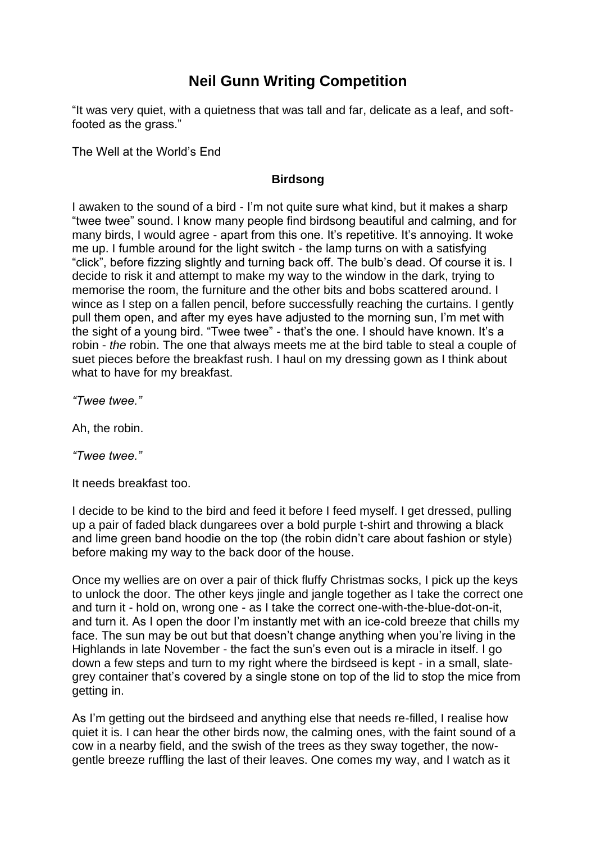## **Neil Gunn Writing Competition**

"It was very quiet, with a quietness that was tall and far, delicate as a leaf, and softfooted as the grass."

The Well at the World's End

## **Birdsong**

I awaken to the sound of a bird - I'm not quite sure what kind, but it makes a sharp "twee twee" sound. I know many people find birdsong beautiful and calming, and for many birds, I would agree - apart from this one. It's repetitive. It's annoying. It woke me up. I fumble around for the light switch - the lamp turns on with a satisfying "click", before fizzing slightly and turning back off. The bulb's dead. Of course it is. I decide to risk it and attempt to make my way to the window in the dark, trying to memorise the room, the furniture and the other bits and bobs scattered around. I wince as I step on a fallen pencil, before successfully reaching the curtains. I gently pull them open, and after my eyes have adjusted to the morning sun, I'm met with the sight of a young bird. "Twee twee" - that's the one. I should have known. It's a robin - *the* robin. The one that always meets me at the bird table to steal a couple of suet pieces before the breakfast rush. I haul on my dressing gown as I think about what to have for my breakfast.

*"Twee twee."*

Ah, the robin.

*"Twee twee."*

It needs breakfast too.

I decide to be kind to the bird and feed it before I feed myself. I get dressed, pulling up a pair of faded black dungarees over a bold purple t-shirt and throwing a black and lime green band hoodie on the top (the robin didn't care about fashion or style) before making my way to the back door of the house.

Once my wellies are on over a pair of thick fluffy Christmas socks, I pick up the keys to unlock the door. The other keys jingle and jangle together as I take the correct one and turn it - hold on, wrong one - as I take the correct one-with-the-blue-dot-on-it, and turn it. As I open the door I'm instantly met with an ice-cold breeze that chills my face. The sun may be out but that doesn't change anything when you're living in the Highlands in late November - the fact the sun's even out is a miracle in itself. I go down a few steps and turn to my right where the birdseed is kept - in a small, slategrey container that's covered by a single stone on top of the lid to stop the mice from getting in.

As I'm getting out the birdseed and anything else that needs re-filled, I realise how quiet it is. I can hear the other birds now, the calming ones, with the faint sound of a cow in a nearby field, and the swish of the trees as they sway together, the nowgentle breeze ruffling the last of their leaves. One comes my way, and I watch as it